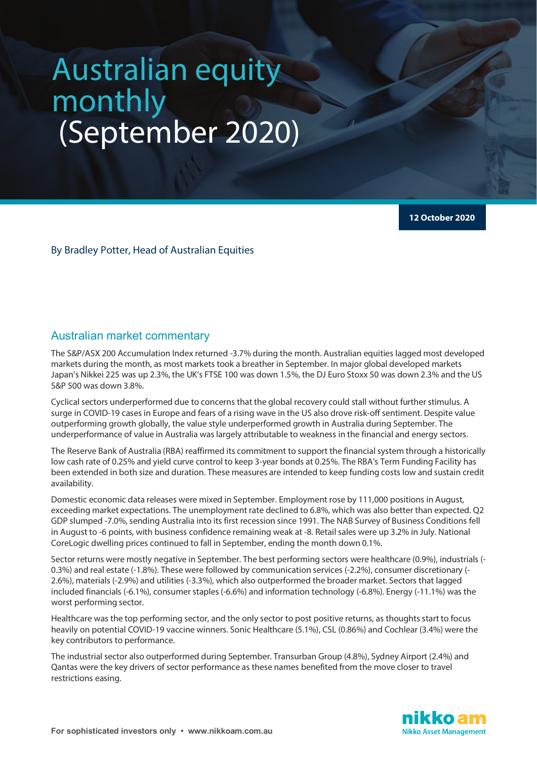# Australian equity monthly (September 2020)

**12 October 2020**

By Bradley Potter, Head of Australian Equities

### Australian market commentary

The S&P/ASX 200 Accumulation Index returned -3.7% during the month. Australian equities lagged most developed markets during the month, as most markets took a breather in September. In major global developed markets Japan's Nikkei 225 was up 2.3%, the UK's FTSE 100 was down 1.5%, the DJ Euro Stoxx 50 was down 2.3% and the US S&P 500 was down 3.8%.

Cyclical sectors underperformed due to concerns that the global recovery could stall without further stimulus. A surge in COVID-19 cases in Europe and fears of a rising wave in the US also drove risk-off sentiment. Despite value outperforming growth globally, the value style underperformed growth in Australia during September. The underperformance of value in Australia was largely attributable to weakness in the financial and energy sectors.

The Reserve Bank of Australia (RBA) reaffirmed its commitment to support the financial system through a historically low cash rate of 0.25% and yield curve control to keep 3-year bonds at 0.25%. The RBA's Term Funding Facility has been extended in both size and duration. These measures are intended to keep funding costs low and sustain credit availability.

Domestic economic data releases were mixed in September. Employment rose by 111,000 positions in August, exceeding market expectations. The unemployment rate declined to 6.8%, which was also better than expected. Q2 GDP slumped -7.0%, sending Australia into its first recession since 1991. The NAB Survey of Business Conditions fell in August to -6 points, with business confidence remaining weak at -8. Retail sales were up 3.2% in July. National CoreLogic dwelling prices continued to fall in September, ending the month down 0.1%.

Sector returns were mostly negative in September. The best performing sectors were healthcare (0.9%), industrials (- 0.3%) and real estate (-1.8%). These were followed by communication services (-2.2%), consumer discretionary (- 2.6%), materials (-2.9%) and utilities (-3.3%), which also outperformed the broader market. Sectors that lagged included financials (-6.1%), consumer staples (-6.6%) and information technology (-6.8%). Energy (-11.1%) was the worst performing sector.

Healthcare was the top performing sector, and the only sector to post positive returns, as thoughts start to focus heavily on potential COVID-19 vaccine winners. Sonic Healthcare (5.1%), CSL (0.86%) and Cochlear (3.4%) were the key contributors to performance.

The industrial sector also outperformed during September. Transurban Group (4.8%), Sydney Airport (2.4%) and Qantas were the key drivers of sector performance as these names benefited from the move closer to travel restrictions easing.

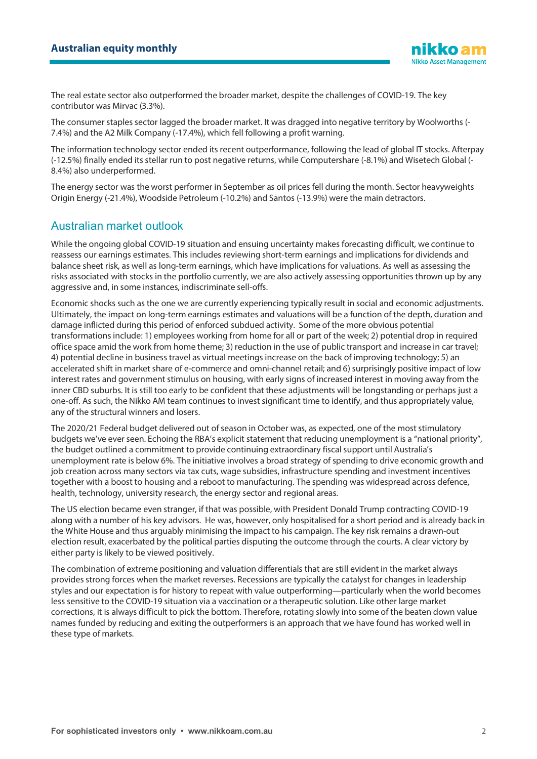The real estate sector also outperformed the broader market, despite the challenges of COVID-19. The key contributor was Mirvac (3.3%).

The consumer staples sector lagged the broader market. It was dragged into negative territory by Woolworths (- 7.4%) and the A2 Milk Company (-17.4%), which fell following a profit warning.

The information technology sector ended its recent outperformance, following the lead of global IT stocks. Afterpay (-12.5%) finally ended its stellar run to post negative returns, while Computershare (-8.1%) and Wisetech Global (- 8.4%) also underperformed.

The energy sector was the worst performer in September as oil prices fell during the month. Sector heavyweights Origin Energy (-21.4%), Woodside Petroleum (-10.2%) and Santos (-13.9%) were the main detractors.

## Australian market outlook

While the ongoing global COVID-19 situation and ensuing uncertainty makes forecasting difficult, we continue to reassess our earnings estimates. This includes reviewing short-term earnings and implications for dividends and balance sheet risk, as well as long-term earnings, which have implications for valuations. As well as assessing the risks associated with stocks in the portfolio currently, we are also actively assessing opportunities thrown up by any aggressive and, in some instances, indiscriminate sell-offs.

Economic shocks such as the one we are currently experiencing typically result in social and economic adjustments. Ultimately, the impact on long-term earnings estimates and valuations will be a function of the depth, duration and damage inflicted during this period of enforced subdued activity. Some of the more obvious potential transformations include: 1) employees working from home for all or part of the week; 2) potential drop in required office space amid the work from home theme; 3) reduction in the use of public transport and increase in car travel; 4) potential decline in business travel as virtual meetings increase on the back of improving technology; 5) an accelerated shift in market share of e-commerce and omni-channel retail; and 6) surprisingly positive impact of low interest rates and government stimulus on housing, with early signs of increased interest in moving away from the inner CBD suburbs. It is still too early to be confident that these adjustments will be longstanding or perhaps just a one-off. As such, the Nikko AM team continues to invest significant time to identify, and thus appropriately value, any of the structural winners and losers.

The 2020/21 Federal budget delivered out of season in October was, as expected, one of the most stimulatory budgets we've ever seen. Echoing the RBA's explicit statement that reducing unemployment is a "national priority", the budget outlined a commitment to provide continuing extraordinary fiscal support until Australia's unemployment rate is below 6%. The initiative involves a broad strategy of spending to drive economic growth and job creation across many sectors via tax cuts, wage subsidies, infrastructure spending and investment incentives together with a boost to housing and a reboot to manufacturing. The spending was widespread across defence, health, technology, university research, the energy sector and regional areas.

The US election became even stranger, if that was possible, with President Donald Trump contracting COVID-19 along with a number of his key advisors. He was, however, only hospitalised for a short period and is already back in the White House and thus arguably minimising the impact to his campaign. The key risk remains a drawn-out election result, exacerbated by the political parties disputing the outcome through the courts. A clear victory by either party is likely to be viewed positively.

The combination of extreme positioning and valuation differentials that are still evident in the market always provides strong forces when the market reverses. Recessions are typically the catalyst for changes in leadership styles and our expectation is for history to repeat with value outperforming—particularly when the world becomes less sensitive to the COVID-19 situation via a vaccination or a therapeutic solution. Like other large market corrections, it is always difficult to pick the bottom. Therefore, rotating slowly into some of the beaten down value names funded by reducing and exiting the outperformers is an approach that we have found has worked well in these type of markets.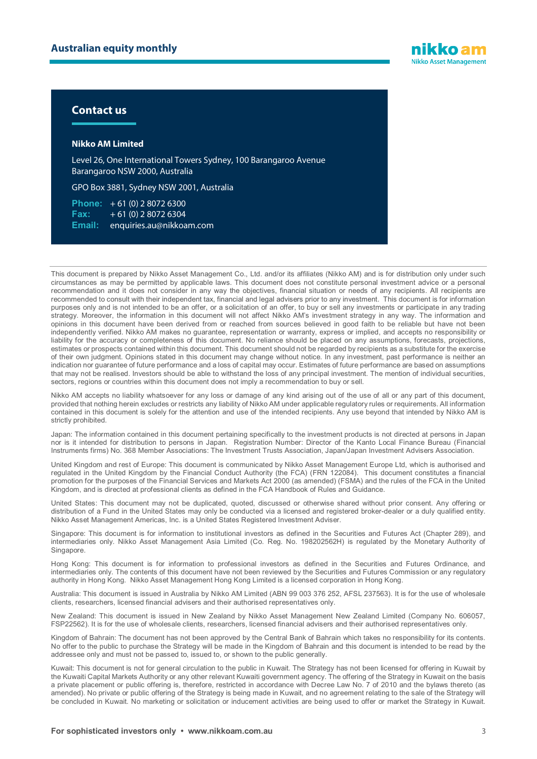

#### **Contact us**

#### **Nikko AM Limited**

Level 26, One International Towers Sydney, 100 Barangaroo Avenue Barangaroo NSW 2000, Australia

GPO Box 3881, Sydney NSW 2001, Australia

**Phone:** + 61 (0) 2 8072 6300 **Fax:** + 61 (0) 2 8072 6304 **Email:** enquiries.au@nikkoam.com

This document is prepared by Nikko Asset Management Co., Ltd. and/or its affiliates (Nikko AM) and is for distribution only under such circumstances as may be permitted by applicable laws. This document does not constitute personal investment advice or a personal recommendation and it does not consider in any way the objectives, financial situation or needs of any recipients. All recipients are recommended to consult with their independent tax, financial and legal advisers prior to any investment. This document is for information purposes only and is not intended to be an offer, or a solicitation of an offer, to buy or sell any investments or participate in any trading strategy. Moreover, the information in this document will not affect Nikko AM's investment strategy in any way. The information and opinions in this document have been derived from or reached from sources believed in good faith to be reliable but have not been independently verified. Nikko AM makes no guarantee, representation or warranty, express or implied, and accepts no responsibility or liability for the accuracy or completeness of this document. No reliance should be placed on any assumptions, forecasts, projections, estimates or prospects contained within this document. This document should not be regarded by recipients as a substitute for the exercise of their own judgment. Opinions stated in this document may change without notice. In any investment, past performance is neither an indication nor guarantee of future performance and a loss of capital may occur. Estimates of future performance are based on assumptions that may not be realised. Investors should be able to withstand the loss of any principal investment. The mention of individual securities, sectors, regions or countries within this document does not imply a recommendation to buy or sell.

Nikko AM accepts no liability whatsoever for any loss or damage of any kind arising out of the use of all or any part of this document, provided that nothing herein excludes or restricts any liability of Nikko AM under applicable regulatory rules or requirements. All information contained in this document is solely for the attention and use of the intended recipients. Any use beyond that intended by Nikko AM is strictly prohibited.

Japan: The information contained in this document pertaining specifically to the investment products is not directed at persons in Japan nor is it intended for distribution to persons in Japan. Registration Number: Director of the Kanto Local Finance Bureau (Financial Instruments firms) No. 368 Member Associations: The Investment Trusts Association, Japan/Japan Investment Advisers Association.

United Kingdom and rest of Europe: This document is communicated by Nikko Asset Management Europe Ltd, which is authorised and regulated in the United Kingdom by the Financial Conduct Authority (the FCA) (FRN 122084). This document constitutes a financial promotion for the purposes of the Financial Services and Markets Act 2000 (as amended) (FSMA) and the rules of the FCA in the United Kingdom, and is directed at professional clients as defined in the FCA Handbook of Rules and Guidance.

United States: This document may not be duplicated, quoted, discussed or otherwise shared without prior consent. Any offering or distribution of a Fund in the United States may only be conducted via a licensed and registered broker-dealer or a duly qualified entity. Nikko Asset Management Americas, Inc. is a United States Registered Investment Adviser.

Singapore: This document is for information to institutional investors as defined in the Securities and Futures Act (Chapter 289), and intermediaries only. Nikko Asset Management Asia Limited (Co. Reg. No. 198202562H) is regulated by the Monetary Authority of Singapore.

Hong Kong: This document is for information to professional investors as defined in the Securities and Futures Ordinance, and intermediaries only. The contents of this document have not been reviewed by the Securities and Futures Commission or any regulatory authority in Hong Kong. Nikko Asset Management Hong Kong Limited is a licensed corporation in Hong Kong.

Australia: This document is issued in Australia by Nikko AM Limited (ABN 99 003 376 252, AFSL 237563). It is for the use of wholesale clients, researchers, licensed financial advisers and their authorised representatives only.

New Zealand: This document is issued in New Zealand by Nikko Asset Management New Zealand Limited (Company No. 606057, FSP22562). It is for the use of wholesale clients, researchers, licensed financial advisers and their authorised representatives only.

Kingdom of Bahrain: The document has not been approved by the Central Bank of Bahrain which takes no responsibility for its contents. No offer to the public to purchase the Strategy will be made in the Kingdom of Bahrain and this document is intended to be read by the addressee only and must not be passed to, issued to, or shown to the public generally.

Kuwait: This document is not for general circulation to the public in Kuwait. The Strategy has not been licensed for offering in Kuwait by the Kuwaiti Capital Markets Authority or any other relevant Kuwaiti government agency. The offering of the Strategy in Kuwait on the basis a private placement or public offering is, therefore, restricted in accordance with Decree Law No. 7 of 2010 and the bylaws thereto (as amended). No private or public offering of the Strategy is being made in Kuwait, and no agreement relating to the sale of the Strategy will be concluded in Kuwait. No marketing or solicitation or inducement activities are being used to offer or market the Strategy in Kuwait.